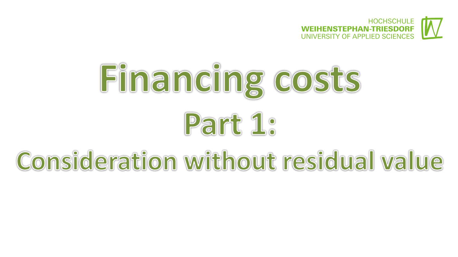



# Consideration without residual value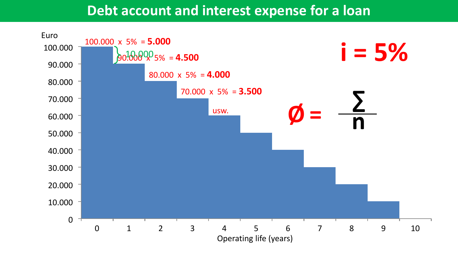## **Debt account and interest expense for a loan**

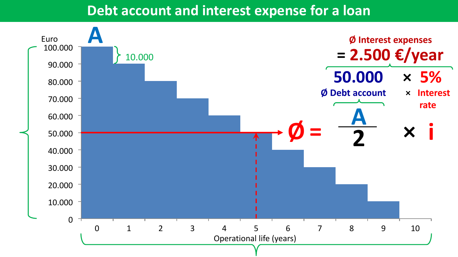#### **Debt account and interest expense for a loan**

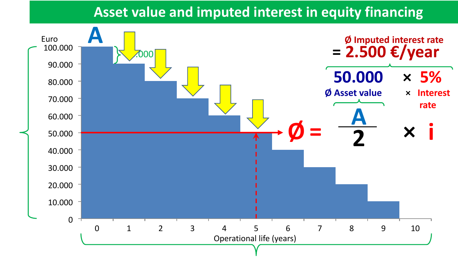## **Asset value and imputed interest in equity financing**